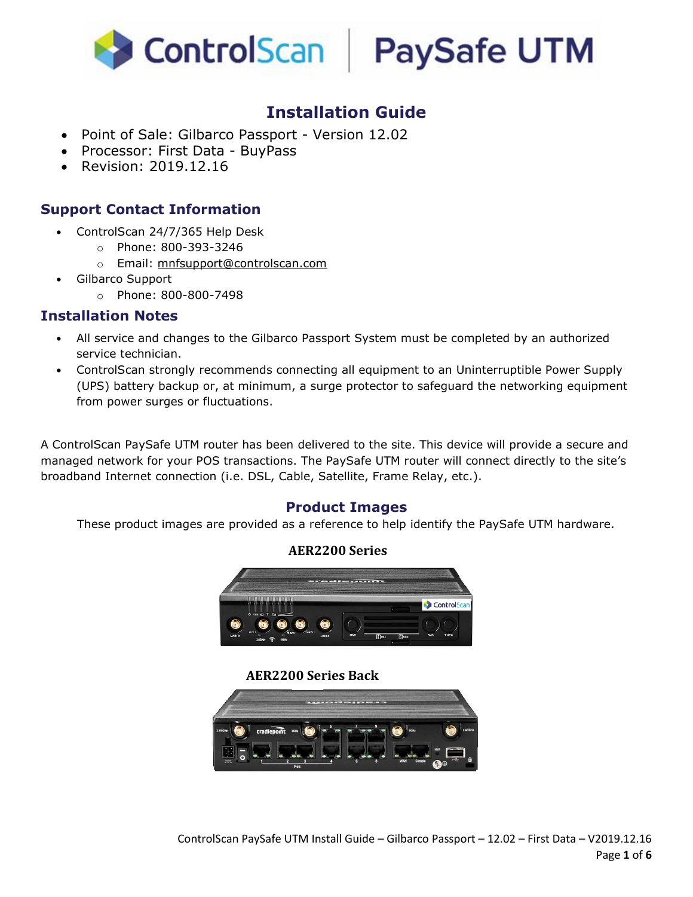



# **Installation Guide**

- Point of Sale: Gilbarco Passport Version 12.02
- Processor: First Data BuyPass
- Revision: 2019.12.16

### **Support Contact Information**

- ControlScan 24/7/365 Help Desk
	- o Phone: 800-393-3246
	- o Email: mnfsupport@controlscan.com
- Gilbarco Support
	- o Phone: 800-800-7498

#### **Installation Notes**

- All service and changes to the Gilbarco Passport System must be completed by an authorized service technician.
- ControlScan strongly recommends connecting all equipment to an Uninterruptible Power Supply (UPS) battery backup or, at minimum, a surge protector to safeguard the networking equipment from power surges or fluctuations.

A ControlScan PaySafe UTM router has been delivered to the site. This device will provide a secure and managed network for your POS transactions. The PaySafe UTM router will connect directly to the site's broadband Internet connection (i.e. DSL, Cable, Satellite, Frame Relay, etc.).

#### **Product Images**

These product images are provided as a reference to help identify the PaySafe UTM hardware.

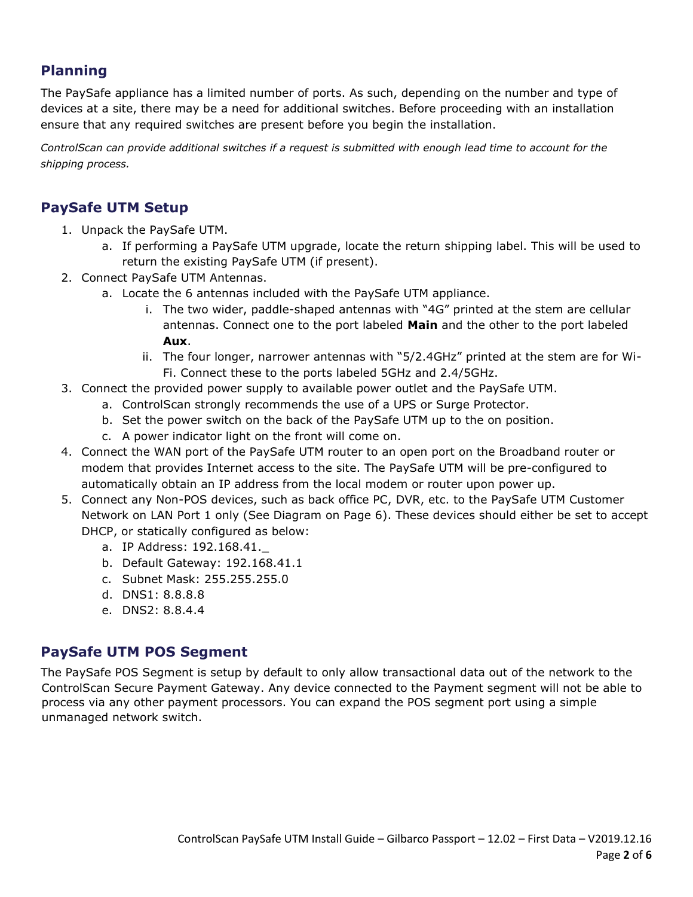## **Planning**

The PaySafe appliance has a limited number of ports. As such, depending on the number and type of devices at a site, there may be a need for additional switches. Before proceeding with an installation ensure that any required switches are present before you begin the installation.

*ControlScan can provide additional switches if a request is submitted with enough lead time to account for the shipping process.*

## **PaySafe UTM Setup**

- 1. Unpack the PaySafe UTM.
	- a. If performing a PaySafe UTM upgrade, locate the return shipping label. This will be used to return the existing PaySafe UTM (if present).
- 2. Connect PaySafe UTM Antennas.
	- a. Locate the 6 antennas included with the PaySafe UTM appliance.
		- i. The two wider, paddle-shaped antennas with "4G" printed at the stem are cellular antennas. Connect one to the port labeled **Main** and the other to the port labeled **Aux**.
		- ii. The four longer, narrower antennas with "5/2.4GHz" printed at the stem are for Wi-Fi. Connect these to the ports labeled 5GHz and 2.4/5GHz.
- 3. Connect the provided power supply to available power outlet and the PaySafe UTM.
	- a. ControlScan strongly recommends the use of a UPS or Surge Protector.
	- b. Set the power switch on the back of the PaySafe UTM up to the on position.
	- c. A power indicator light on the front will come on.
- 4. Connect the WAN port of the PaySafe UTM router to an open port on the Broadband router or modem that provides Internet access to the site. The PaySafe UTM will be pre-configured to automatically obtain an IP address from the local modem or router upon power up.
- 5. Connect any Non-POS devices, such as back office PC, DVR, etc. to the PaySafe UTM Customer Network on LAN Port 1 only (See Diagram on Page 6). These devices should either be set to accept DHCP, or statically configured as below:
	- a. IP Address: 192.168.41.\_
	- b. Default Gateway: 192.168.41.1
	- c. Subnet Mask: 255.255.255.0
	- d. DNS1: 8.8.8.8
	- e. DNS2: 8.8.4.4

### **PaySafe UTM POS Segment**

The PaySafe POS Segment is setup by default to only allow transactional data out of the network to the ControlScan Secure Payment Gateway. Any device connected to the Payment segment will not be able to process via any other payment processors. You can expand the POS segment port using a simple unmanaged network switch.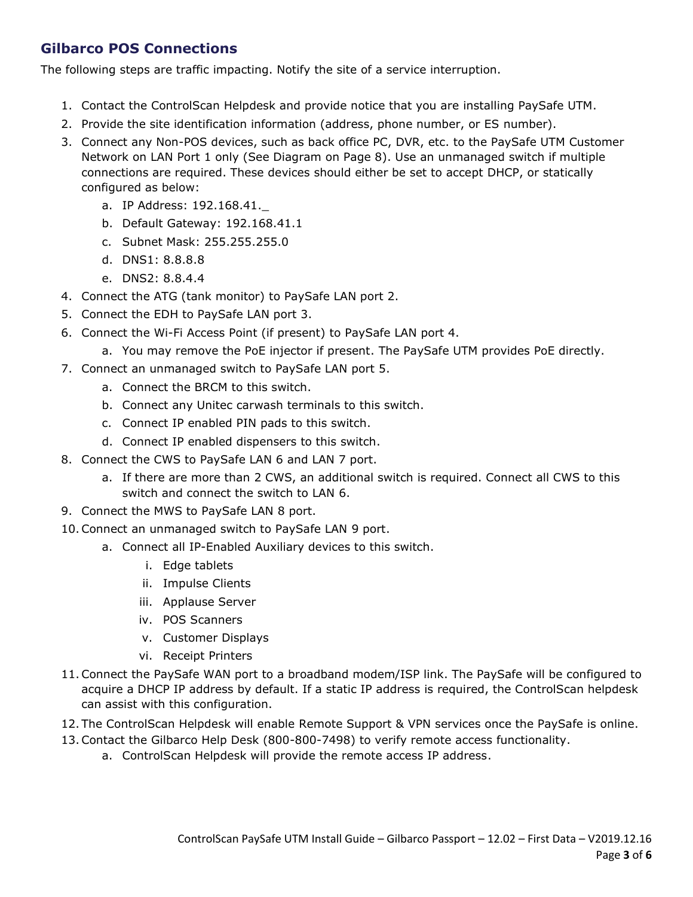## **Gilbarco POS Connections**

The following steps are traffic impacting. Notify the site of a service interruption.

- 1. Contact the ControlScan Helpdesk and provide notice that you are installing PaySafe UTM.
- 2. Provide the site identification information (address, phone number, or ES number).
- 3. Connect any Non-POS devices, such as back office PC, DVR, etc. to the PaySafe UTM Customer Network on LAN Port 1 only (See Diagram on Page 8). Use an unmanaged switch if multiple connections are required. These devices should either be set to accept DHCP, or statically configured as below:
	- a. IP Address: 192.168.41.\_
	- b. Default Gateway: 192.168.41.1
	- c. Subnet Mask: 255.255.255.0
	- d. DNS1: 8.8.8.8
	- e. DNS2: 8.8.4.4
- 4. Connect the ATG (tank monitor) to PaySafe LAN port 2.
- 5. Connect the EDH to PaySafe LAN port 3.
- 6. Connect the Wi-Fi Access Point (if present) to PaySafe LAN port 4.
	- a. You may remove the PoE injector if present. The PaySafe UTM provides PoE directly.
- 7. Connect an unmanaged switch to PaySafe LAN port 5.
	- a. Connect the BRCM to this switch.
	- b. Connect any Unitec carwash terminals to this switch.
	- c. Connect IP enabled PIN pads to this switch.
	- d. Connect IP enabled dispensers to this switch.
- 8. Connect the CWS to PaySafe LAN 6 and LAN 7 port.
	- a. If there are more than 2 CWS, an additional switch is required. Connect all CWS to this switch and connect the switch to LAN 6.
- 9. Connect the MWS to PaySafe LAN 8 port.
- 10.Connect an unmanaged switch to PaySafe LAN 9 port.
	- a. Connect all IP-Enabled Auxiliary devices to this switch.
		- i. Edge tablets
		- ii. Impulse Clients
		- iii. Applause Server
		- iv. POS Scanners
		- v. Customer Displays
		- vi. Receipt Printers
- 11.Connect the PaySafe WAN port to a broadband modem/ISP link. The PaySafe will be configured to acquire a DHCP IP address by default. If a static IP address is required, the ControlScan helpdesk can assist with this configuration.
- 12. The ControlScan Helpdesk will enable Remote Support & VPN services once the PaySafe is online.
- 13.Contact the Gilbarco Help Desk (800-800-7498) to verify remote access functionality.
	- a. ControlScan Helpdesk will provide the remote access IP address.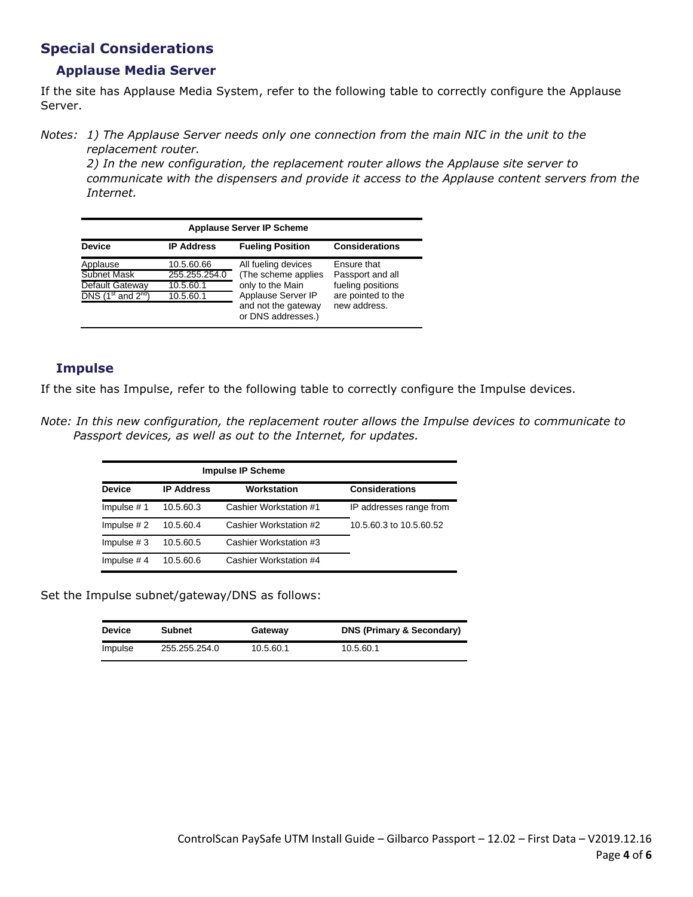### **Special Considerations**

#### **Applause Media Server**

If the site has Applause Media System, refer to the following table to correctly configure the Applause Server.

*Notes: 1) The Applause Server needs only one connection from the main NIC in the unit to the replacement router.*

*2) In the new configuration, the replacement router allows the Applause site server to communicate with the dispensers and provide it access to the Applause content servers from the Internet.* 

| <b>Applause Server IP Scheme</b>   |                   |                                           |                       |  |  |  |
|------------------------------------|-------------------|-------------------------------------------|-----------------------|--|--|--|
| <b>Device</b>                      | <b>IP Address</b> | <b>Fueling Position</b>                   | <b>Considerations</b> |  |  |  |
| Applause                           | 10.5.60.66        | All fueling devices                       | Ensure that           |  |  |  |
| Subnet Mask                        | 255.255.254.0     | (The scheme applies                       | Passport and all      |  |  |  |
| Default Gateway                    | 10.5.60.1         | only to the Main                          | fueling positions     |  |  |  |
| $DNS$ (1 <sup>st</sup> and $2nd$ ) | 10.5.60.1         | Applause Server IP                        | are pointed to the    |  |  |  |
|                                    |                   | and not the gateway<br>or DNS addresses.) | new address.          |  |  |  |

#### **Impulse**

If the site has Impulse, refer to the following table to correctly configure the Impulse devices.

*Note: In this new configuration, the replacement router allows the Impulse devices to communicate to Passport devices, as well as out to the Internet, for updates.* 

|               | <b>Impulse IP Scheme</b> |                        |                         |
|---------------|--------------------------|------------------------|-------------------------|
| <b>Device</b> | <b>IP Address</b>        | Workstation            | <b>Considerations</b>   |
| Impulse $# 1$ | 10.5.60.3                | Cashier Workstation #1 | IP addresses range from |
| Impulse $#2$  | 10.5.60.4                | Cashier Workstation #2 | 10.5.60.3 to 10.5.60.52 |
| Impulse $# 3$ | 10.5.60.5                | Cashier Workstation #3 |                         |
| Impulse $# 4$ | 10.5.60.6                | Cashier Workstation #4 |                         |

Set the Impulse subnet/gateway/DNS as follows:

| <b>Device</b> | <b>Subnet</b> | Gateway   | <b>DNS (Primary &amp; Secondary)</b> |
|---------------|---------------|-----------|--------------------------------------|
| Impulse       | 255.255.254.0 | 10.5.60.1 | 10.5.60.1                            |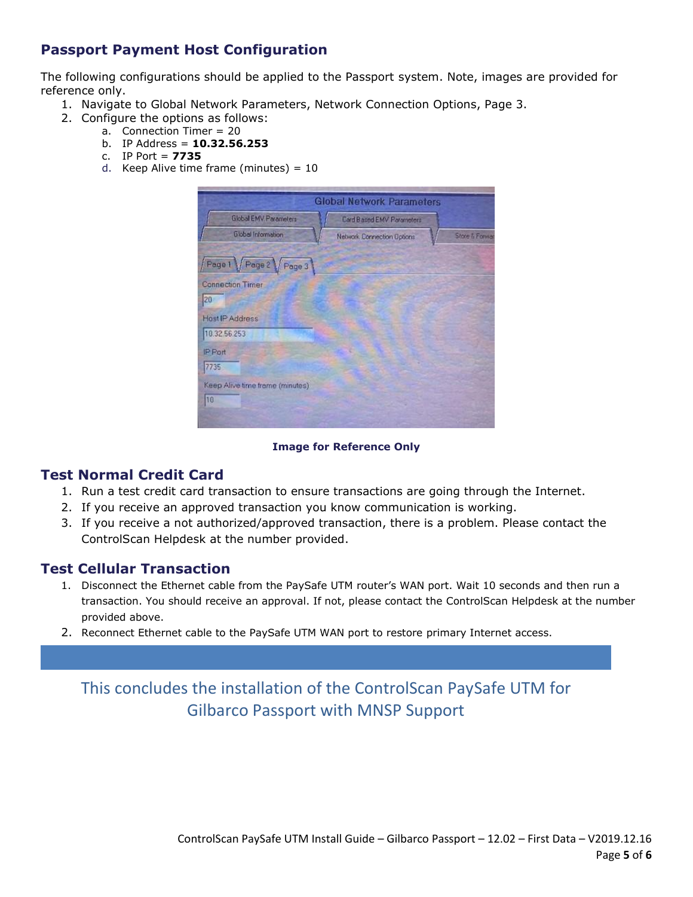## **Passport Payment Host Configuration**

The following configurations should be applied to the Passport system. Note, images are provided for reference only.

- 1. Navigate to Global Network Parameters, Network Connection Options, Page 3.
- 2. Configure the options as follows:
	- a. Connection Timer = 20
	- b. IP Address = **10.32.56.253**
	- c. IP Port = **7735**
	- d. Keep Alive time frame (minutes) = 10

| <b>Global Network Parameters</b> |                            |                           |  |  |  |
|----------------------------------|----------------------------|---------------------------|--|--|--|
| <b>Global EMV Parameters</b>     | Card B ased EMV Parameters |                           |  |  |  |
| Global Information               | Network Connection Options | <b>Store &amp; Forwar</b> |  |  |  |
| Page 1 Page 2 Page 3             |                            |                           |  |  |  |
| <b>Connection Timer</b>          |                            |                           |  |  |  |
| 20                               |                            |                           |  |  |  |
| <b>Host IP Address</b>           |                            |                           |  |  |  |
| 10.32.56.253                     |                            |                           |  |  |  |
| IP Port                          |                            |                           |  |  |  |
| 7735                             |                            |                           |  |  |  |
| Keep Alive time frame (minutes)  |                            |                           |  |  |  |
| 10                               |                            |                           |  |  |  |
|                                  |                            |                           |  |  |  |

#### **Image for Reference Only**

#### **Test Normal Credit Card**

- 1. Run a test credit card transaction to ensure transactions are going through the Internet.
- 2. If you receive an approved transaction you know communication is working.
- 3. If you receive a not authorized/approved transaction, there is a problem. Please contact the ControlScan Helpdesk at the number provided.

#### **Test Cellular Transaction**

- 1. Disconnect the Ethernet cable from the PaySafe UTM router's WAN port. Wait 10 seconds and then run a transaction. You should receive an approval. If not, please contact the ControlScan Helpdesk at the number provided above.
- 2. Reconnect Ethernet cable to the PaySafe UTM WAN port to restore primary Internet access.

# This concludes the installation of the ControlScan PaySafe UTM for Gilbarco Passport with MNSP Support